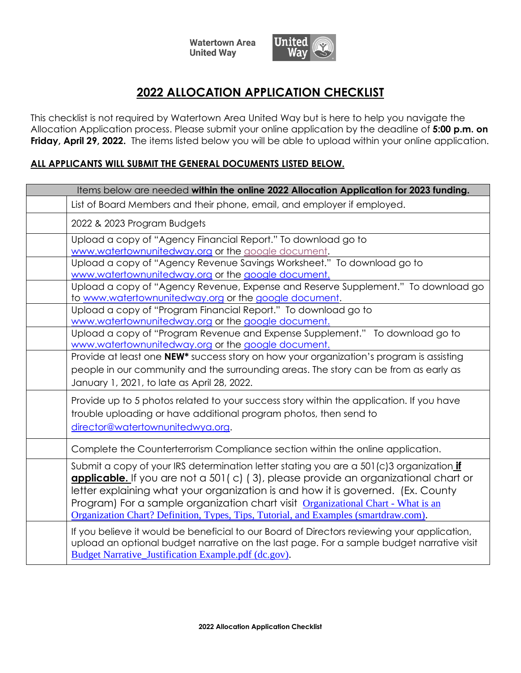**Watertown Area United Way** 



## **2022 ALLOCATION APPLICATION CHECKLIST**

This checklist is not required by Watertown Area United Way but is here to help you navigate the Allocation Application process. Please submit your online application by the deadline of **5:00 p.m. on Friday, April 29, 2022.** The items listed below you will be able to upload within your online application.

## **ALL APPLICANTS WILL SUBMIT THE GENERAL DOCUMENTS LISTED BELOW.**

| Items below are needed within the online 2022 Allocation Application for 2023 funding. |                                                                                                                                                                                                                                                                                                                                                                                                                                                       |  |
|----------------------------------------------------------------------------------------|-------------------------------------------------------------------------------------------------------------------------------------------------------------------------------------------------------------------------------------------------------------------------------------------------------------------------------------------------------------------------------------------------------------------------------------------------------|--|
|                                                                                        | List of Board Members and their phone, email, and employer if employed.                                                                                                                                                                                                                                                                                                                                                                               |  |
|                                                                                        | 2022 & 2023 Program Budgets                                                                                                                                                                                                                                                                                                                                                                                                                           |  |
|                                                                                        | Upload a copy of "Agency Financial Report." To download go to<br>www.watertownunitedway.org or the google document.                                                                                                                                                                                                                                                                                                                                   |  |
|                                                                                        | Upload a copy of "Agency Revenue Savings Worksheet." To download go to<br>www.watertownunitedway.org or the google document.                                                                                                                                                                                                                                                                                                                          |  |
|                                                                                        | Upload a copy of "Agency Revenue, Expense and Reserve Supplement." To download go<br>to www.watertownunitedway.org or the google document.                                                                                                                                                                                                                                                                                                            |  |
|                                                                                        | Upload a copy of "Program Financial Report." To download go to<br>www.watertownunitedway.org or the google document.                                                                                                                                                                                                                                                                                                                                  |  |
|                                                                                        | Upload a copy of "Program Revenue and Expense Supplement." To download go to<br>www.watertownunitedway.org or the google document.                                                                                                                                                                                                                                                                                                                    |  |
|                                                                                        | Provide at least one NEW <sup>*</sup> success story on how your organization's program is assisting<br>people in our community and the surrounding areas. The story can be from as early as<br>January 1, 2021, to late as April 28, 2022.                                                                                                                                                                                                            |  |
|                                                                                        | Provide up to 5 photos related to your success story within the application. If you have<br>trouble uploading or have additional program photos, then send to<br>director@watertownunitedwya.org.                                                                                                                                                                                                                                                     |  |
|                                                                                        | Complete the Counterterrorism Compliance section within the online application.                                                                                                                                                                                                                                                                                                                                                                       |  |
|                                                                                        | Submit a copy of your IRS determination letter stating you are a 501(c)3 organization <i>if</i><br>applicable. If you are not a 501 (c) (3), please provide an organizational chart or<br>letter explaining what your organization is and how it is governed. (Ex. County<br>Program) For a sample organization chart visit Organizational Chart - What is an<br>Organization Chart? Definition, Types, Tips, Tutorial, and Examples (smartdraw.com). |  |
|                                                                                        | If you believe it would be beneficial to our Board of Directors reviewing your application,<br>upload an optional budget narrative on the last page. For a sample budget narrative visit<br>Budget Narrative_Justification Example.pdf (dc.gov).                                                                                                                                                                                                      |  |